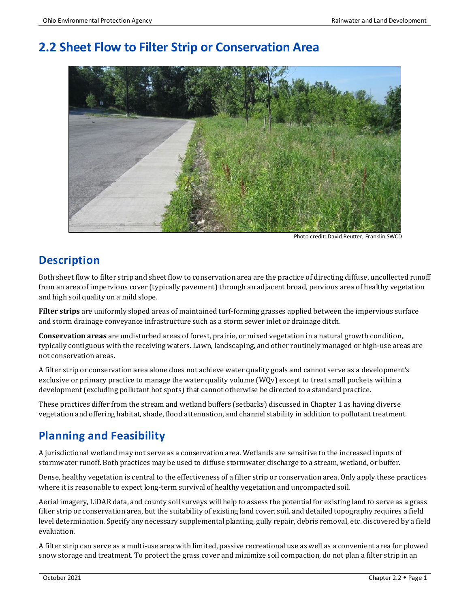# **2.2 Sheet Flow to Filter Strip or Conservation Area**

Photo credit: David Reutter, Franklin SWCD

# **Description**

Both sheet flow to filter strip and sheet flow to conservation area are the practice of directing diffuse, uncollected runoff from an area of impervious cover (typically pavement) through an adjacent broad, pervious area of healthy vegetation and high soil quality on a mild slope.

**Filter strips** are uniformly sloped areas of maintained turf-forming grasses applied between the impervious surface and storm drainage conveyance infrastructure such as a storm sewer inlet or drainage ditch.

**Conservation areas** are undisturbed areas of forest, prairie, or mixed vegetation in a natural growth condition, typically contiguous with the receiving waters. Lawn, landscaping, and other routinely managed or high-use areas are not conservation areas.

A filter strip or conservation area alone does not achieve water quality goals and cannot serve as a development's exclusive or primary practice to manage the water quality volume (WQv) except to treat small pockets within a development (excluding pollutant hot spots) that cannot otherwise be directed to a standard practice.

These practices differ from the stream and wetland buffers (setbacks) discussed in Chapter 1 as having diverse vegetation and offering habitat, shade, flood attenuation, and channel stability in addition to pollutant treatment.

# **Planning and Feasibility**

A jurisdictional wetland may not serve as a conservation area. Wetlands are sensitive to the increased inputs of stormwater runoff. Both practices may be used to diffuse stormwater discharge to a stream, wetland, or buffer.

Dense, healthy vegetation is central to the effectiveness of a filter strip or conservation area. Only apply these practices where it is reasonable to expect long-term survival of healthy vegetation and uncompacted soil.

Aerial imagery, LiDAR data, and county soil surveys will help to assess the potential for existing land to serve as a grass filter strip or conservation area, but the suitability of existing land cover, soil, and detailed topography requires a field level determination. Specify any necessary supplemental planting, gully repair, debris removal, etc. discovered by a field evaluation.

A filter strip can serve as a multi-use area with limited, passive recreational use as well as a convenient area for plowed snow storage and treatment. To protect the grass cover and minimize soil compaction, do not plan a filter strip in an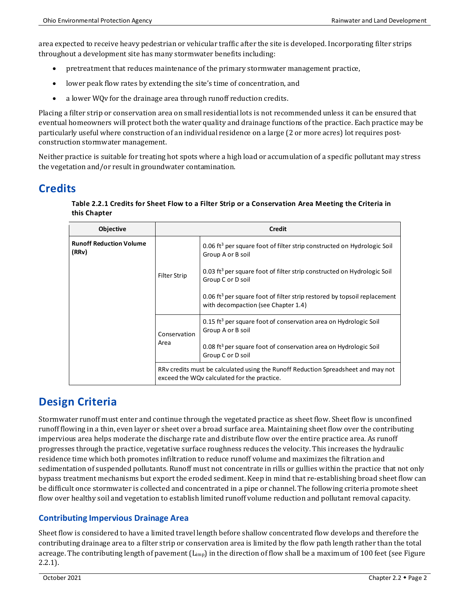area expected to receive heavy pedestrian or vehicular traffic after the site is developed. Incorporating filter strips throughout a development site has many stormwater benefits including:

- pretreatment that reduces maintenance of the primary stormwater management practice,
- lower peak flow rates by extending the site's time of concentration, and
- a lower WQy for the drainage area through runoff reduction credits.

Placing a filter strip or conservation area on small residential lots is not recommended unless it can be ensured that eventual homeowners will protect both the water quality and drainage functions of the practice. Each practice may be particularly useful where construction of an individual residence on a large (2 or more acres) lot requires postconstruction stormwater management.

Neither practice is suitable for treating hot spots where a high load or accumulation of a specific pollutant may stress the vegetation and/or result in groundwater contamination.

### **Credits**

| Table 2.2.1 Credits for Sheet Flow to a Filter Strip or a Conservation Area Meeting the Criteria in |
|-----------------------------------------------------------------------------------------------------|
| this Chapter                                                                                        |

| <b>Objective</b>                        | Credit                                                                                                                           |                                                                                                                             |
|-----------------------------------------|----------------------------------------------------------------------------------------------------------------------------------|-----------------------------------------------------------------------------------------------------------------------------|
| <b>Runoff Reduction Volume</b><br>(RRv) |                                                                                                                                  | 0.06 ft <sup>3</sup> per square foot of filter strip constructed on Hydrologic Soil<br>Group A or B soil                    |
|                                         | <b>Filter Strip</b>                                                                                                              | 0.03 ft <sup>3</sup> per square foot of filter strip constructed on Hydrologic Soil<br>Group C or D soil                    |
|                                         |                                                                                                                                  | 0.06 ft <sup>3</sup> per square foot of filter strip restored by topsoil replacement<br>with decompaction (see Chapter 1.4) |
|                                         | Conservation                                                                                                                     | $0.15$ ft <sup>3</sup> per square foot of conservation area on Hydrologic Soil<br>Group A or B soil                         |
|                                         | Area                                                                                                                             | 0.08 ft <sup>3</sup> per square foot of conservation area on Hydrologic Soil<br>Group C or D soil                           |
|                                         | RRy credits must be calculated using the Runoff Reduction Spreadsheet and may not<br>exceed the WQv calculated for the practice. |                                                                                                                             |

# **Design Criteria**

Stormwater runoff must enter and continue through the vegetated practice as sheet flow. Sheet flow is unconfined runoff flowing in a thin, even layer or sheet over a broad surface area. Maintaining sheet flow over the contributing impervious area helps moderate the discharge rate and distribute flow over the entire practice area. As runoff progresses through the practice, vegetative surface roughness reduces the velocity. This increases the hydraulic residence time which both promotes infiltration to reduce runoff volume and maximizes the filtration and sedimentation of suspended pollutants. Runoff must not concentrate in rills or gullies within the practice that not only bypass treatment mechanisms but export the eroded sediment. Keep in mind that re-establishing broad sheet flow can be difficult once stormwater is collected and concentrated in a pipe or channel. The following criteria promote sheet flow over healthy soil and vegetation to establish limited runoff volume reduction and pollutant removal capacity.

#### **Contributing Impervious Drainage Area**

Sheet flow is considered to have a limited travel length before shallow concentrated flow develops and therefore the contributing drainage area to a filter strip or conservation area is limited by the flow path length rather than the total acreage. The contributing length of pavement  $(L_{imp})$  in the direction of flow shall be a maximum of 100 feet (see Figure 2.2.1).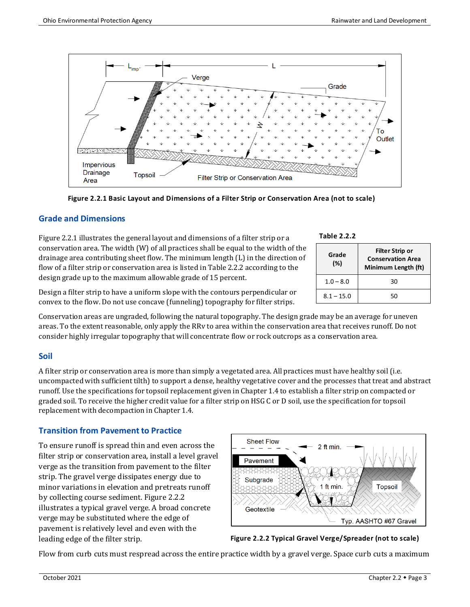



#### **Grade and Dimensions**

Figure 2.2.1 illustrates the general layout and dimensions of a filter strip or a conservation area. The width (W) of all practices shall be equal to the width of the drainage area contributing sheet flow. The minimum length (L) in the direction of flow of a filter strip or conservation area is listed in Table 2.2.2 according to the design grade up to the maximum allowable grade of 15 percent.

Design a filter strip to have a uniform slope with the contours perpendicular or

convex to the flow. Do not use concave (funneling) topography for filter strips.

Conservation areas are ungraded, following the natural topography. The design grade may be an average for uneven areas. To the extent reasonable, only apply the RRv to area within the conservation area that receives runoff. Do not consider highly irregular topography that will concentrate flow or rock outcrops as a conservation area.

#### **Soil**

A filter strip or conservation area is more than simply a vegetated area. All practices must have healthy soil (i.e. uncompacted with sufficient tilth) to support a dense, healthy vegetative cover and the processes that treat and abstract runoff. Use the specifications for topsoil replacement given in Chapter 1.4 to establish a filter strip on compacted or graded soil. To receive the higher credit value for a filter strip on HSG C or D soil, use the specification for topsoil replacement with decompaction in Chapter 1.4.

#### **Transition from Pavement to Practice**

To ensure runoff is spread thin and even across the filter strip or conservation area, install a level gravel verge as the transition from pavement to the filter strip. The gravel verge dissipates energy due to minor variations in elevation and pretreats runoff by collecting course sediment. Figure 2.2.2 illustrates a typical gravel verge. A broad concrete verge may be substituted where the edge of pavement is relatively level and even with the leading edge of the filter strip.





Flow from curb cuts must respread across the entire practice width by a gravel verge. Space curb cuts a maximum

| Table 2.2.2 |  |
|-------------|--|
|-------------|--|

| Grade<br>(%) | <b>Filter Strip or</b><br><b>Conservation Area</b><br>Minimum Length (ft) |
|--------------|---------------------------------------------------------------------------|
| $1.0 - 8.0$  | 30                                                                        |
| $8.1 - 15.0$ | 50                                                                        |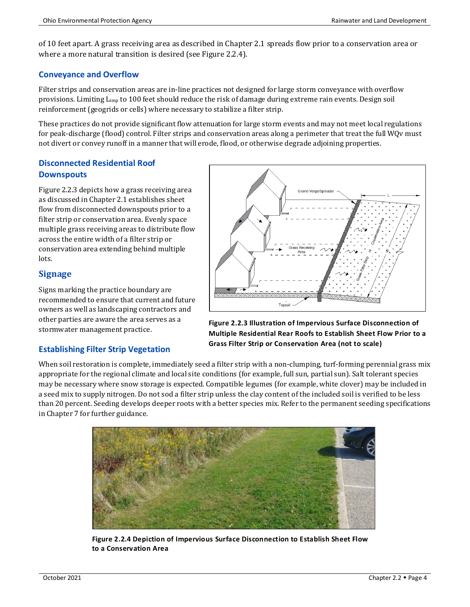of 10 feet apart. A grass receiving area as described in Chapter 2.1 spreads flow prior to a conservation area or where a more natural transition is desired (see Figure 2.2.4).

#### **Conveyance and Overflow**

Filter strips and conservation areas are in-line practices not designed for large storm conveyance with overflow provisions. Limiting Limp to 100 feet should reduce the risk of damage during extreme rain events. Design soil reinforcement (geogrids or cells) where necessary to stabilize a filter strip.

These practices do not provide significant flow attenuation for large storm events and may not meet local regulations for peak-discharge (flood) control. Filter strips and conservation areas along a perimeter that treat the full WQv must not divert or convey runoff in a manner that will erode, flood, or otherwise degrade adjoining properties.

#### **Disconnected Residential Roof Downspouts**

Figure 2.2.3 depicts how a grass receiving area as discussed in Chapter 2.1 establishes sheet flow from disconnected downspouts prior to a filter strip or conservation area. Evenly space multiple grass receiving areas to distribute flow across the entire width of a filter strip or conservation area extending behind multiple lots.

### **Signage**

Signs marking the practice boundary are recommended to ensure that current and future owners as well as landscaping contractors and other parties are aware the area serves as a stormwater management practice.

#### **Establishing Filter Strip Vegetation**

in Chapter 7 for further guidance.

When soil restoration is complete, immediately seed a filter strip with a non-clumping, turf-forming perennial grass mix appropriate for the regional climate and local site conditions (for example, full sun, partial sun). Salt tolerant species may be necessary where snow storage is expected. Compatible legumes (for example, white clover) may be included in a seed mix to supply nitrogen. Do not sod a filter strip unless the clay content of the included soil is verified to be less than 20 percent. Seeding develops deeper roots with a better species mix. Refer to the permanent seeding specifications **Grass Filter Strip or Conservation Area (not to scale)**



**Figure 2.2.4 Depiction of Impervious Surface Disconnection to Establish Sheet Flow to a Conservation Area**



**Figure 2.2.3 Illustration of Impervious Surface Disconnection of Multiple Residential Rear Roofs to Establish Sheet Flow Prior to a**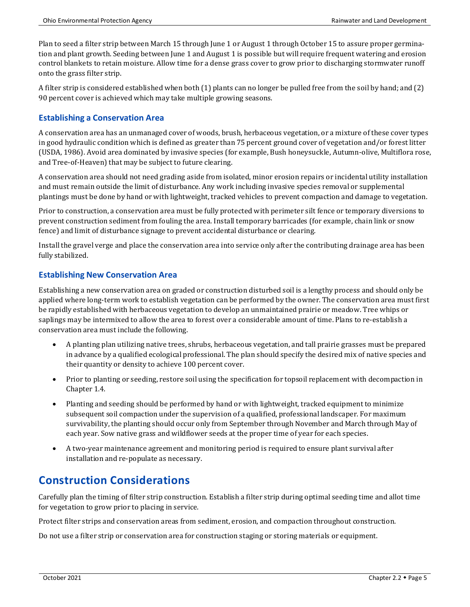Plan to seed a filter strip between March 15 through June 1 or August 1 through October 15 to assure proper germination and plant growth. Seeding between June 1 and August 1 is possible but will require frequent watering and erosion control blankets to retain moisture. Allow time for a dense grass cover to grow prior to discharging stormwater runoff onto the grass filter strip.

A filter strip is considered established when both (1) plants can no longer be pulled free from the soil by hand; and (2) 90 percent cover is achieved which may take multiple growing seasons.

#### **Establishing a Conservation Area**

A conservation area has an unmanaged cover of woods, brush, herbaceous vegetation, or a mixture of these cover types in good hydraulic condition which is defined as greater than 75 percent ground cover of vegetation and/or forest litter (USDA, 1986). Avoid area dominated by invasive species (for example, Bush honeysuckle, Autumn-olive, Multiflora rose, and Tree-of-Heaven) that may be subject to future clearing.

A conservation area should not need grading aside from isolated, minor erosion repairs or incidental utility installation and must remain outside the limit of disturbance. Any work including invasive species removal or supplemental plantings must be done by hand or with lightweight, tracked vehicles to prevent compaction and damage to vegetation.

Prior to construction, a conservation area must be fully protected with perimeter silt fence or temporary diversions to prevent construction sediment from fouling the area. Install temporary barricades (for example, chain link or snow fence) and limit of disturbance signage to prevent accidental disturbance or clearing.

Install the gravel verge and place the conservation area into service only after the contributing drainage area has been fully stabilized.

#### **Establishing New Conservation Area**

Establishing a new conservation area on graded or construction disturbed soil is a lengthy process and should only be applied where long-term work to establish vegetation can be performed by the owner. The conservation area must first be rapidly established with herbaceous vegetation to develop an unmaintained prairie or meadow. Tree whips or saplings may be intermixed to allow the area to forest over a considerable amount of time. Plans to re-establish a conservation area must include the following.

- A planting plan utilizing native trees, shrubs, herbaceous vegetation, and tall prairie grasses must be prepared in advance by a qualified ecological professional. The plan should specify the desired mix of native species and their quantity or density to achieve 100 percent cover.
- Prior to planting or seeding, restore soil using the specification for topsoil replacement with decompaction in Chapter 1.4.
- Planting and seeding should be performed by hand or with lightweight, tracked equipment to minimize subsequent soil compaction under the supervision of a qualified, professional landscaper. For maximum survivability, the planting should occur only from September through November and March through May of each year. Sow native grass and wildflower seeds at the proper time of year for each species.
- A two-year maintenance agreement and monitoring period is required to ensure plant survival after installation and re-populate as necessary.

# **Construction Considerations**

Carefully plan the timing of filter strip construction. Establish a filter strip during optimal seeding time and allot time for vegetation to grow prior to placing in service.

Protect filter strips and conservation areas from sediment, erosion, and compaction throughout construction.

Do not use a filter strip or conservation area for construction staging or storing materials or equipment.